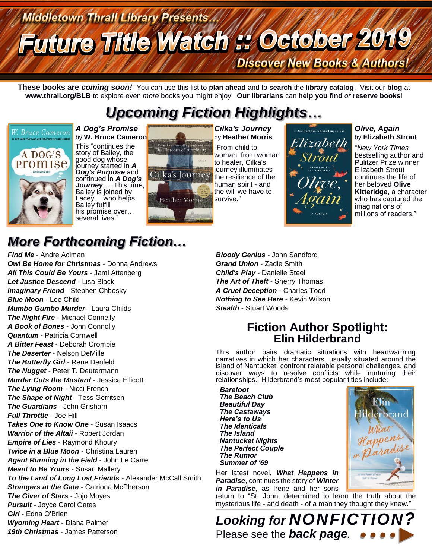## **Middletown Thrall Library Presents Future Title Watch # October 2019 Discover New Books & Authors!**

**These books are** *coming soon!* You can use this list to **plan ahead** and to **search** the **library catalog**. Visit our **blog** at **www.thrall.org/BLB** to explore even *more* books you might enjoy! **Our librarians** can **help you find** *or* **reserve books**!

## *Upcoming Fiction Highlights…*



by **W. Bruce Cameron** This "continues the story of Bailey, the good dog whose journey started in *A Dog's Purpose* and continued in *A Dog's Journey*…. This time, Bailey is joined by Lacey... who helps Bailey fulfill his promise over... several lives.'

*A Dog's Promise*



*Cilka's Journey* by **Heather Morris** "From child to woman, from woman to healer, Cilka's journey illuminates the resilience of the human spirit - and the will we have to survive."

# Ilizabeth

#### *Olive, Again* by **Elizabeth Strout**

"*New York Times*  bestselling author and Pulitzer Prize winner Elizabeth Strout continues the life of her beloved **Olive Kitteridge**, a character who has captured the imaginations of millions of readers."

## *More Forthcoming Fiction…*

*Find Me* - Andre Aciman *Owl Be Home for Christmas* - Donna Andrews *All This Could Be Yours* - Jami Attenberg *Let Justice Descend* - Lisa Black **Imaginary Friend** - Stephen Chbosky *Blue Moon* - Lee Child *Mumbo Gumbo Murder* - Laura Childs *The Night Fire* - Michael Connelly *A Book of Bones* - John Connolly *Quantum* - Patricia Cornwell *A Bitter Feast* - Deborah Crombie *The Deserter* - Nelson DeMille *The Butterfly Girl* - Rene Denfeld *The Nugget* - Peter T. Deutermann *Murder Cuts the Mustard* - Jessica Ellicott *The Lying Room* - Nicci French *The Shape of Night* - Tess Gerritsen *The Guardians* - John Grisham *Full Throttle* - Joe Hill *Takes One to Know One* - Susan Isaacs *Warrior of the Altaii* - Robert Jordan *Empire of Lies* - Raymond Khoury *Twice in a Blue Moon* - Christina Lauren *Agent Running in the Field* - John Le Carre *Meant to Be Yours* - Susan Mallery *To the Land of Long Lost Friends* - Alexander McCall Smith **Strangers at the Gate - Catriona McPherson** *The Giver of Stars* - Jojo Moyes *Pursuit* - Joyce Carol Oates *Girl* - Edna O'Brien *Wyoming Heart* - Diana Palmer *19th Christmas* - James Patterson

*Bloody Genius* - John Sandford *Grand Union* - Zadie Smith *Child's Play* - Danielle Steel *The Art of Theft* - Sherry Thomas *A Cruel Deception* - Charles Todd *Nothing to See Here* - Kevin Wilson *Stealth* - Stuart Woods

## **Fiction Author Spotlight: Elin Hilderbrand**

This author pairs dramatic situations with heartwarming narratives in which her characters, usually situated around the island of Nantucket, confront relatable personal challenges, and discover ways to resolve conflicts while nurturing their relationships. Hilderbrand's most popular titles include:

*Barefoot The Beach Club Beautiful Day The Castaways Here's to Us The Identicals The Island Nantucket Nights The Perfect Couple The Rumor Summer of '69*

Her latest novel, *What Happens in Paradise*, continues the story of *Winter in Paradise*, as Irene and her sons

return to "St. John, determined to learn the truth about the mysterious life - and death - of a man they thought they knew."  $\_$  ,  $\_$  ,  $\_$  ,  $\_$  ,  $\_$  ,  $\_$  ,  $\_$  ,  $\_$  ,  $\_$  ,  $\_$  ,  $\_$  ,  $\_$  ,  $\_$  ,  $\_$  ,  $\_$  ,  $\_$  ,  $\_$  ,  $\_$  ,  $\_$  ,  $\_$  ,  $\_$  ,  $\_$  ,  $\_$  ,  $\_$  ,  $\_$  ,  $\_$  ,  $\_$  ,  $\_$  ,  $\_$  ,  $\_$  ,  $\_$  ,  $\_$  ,  $\_$  ,  $\_$  ,  $\_$  ,  $\_$  ,  $\_$  ,

*Looking for NONFICTION?* Please see the *back page.*